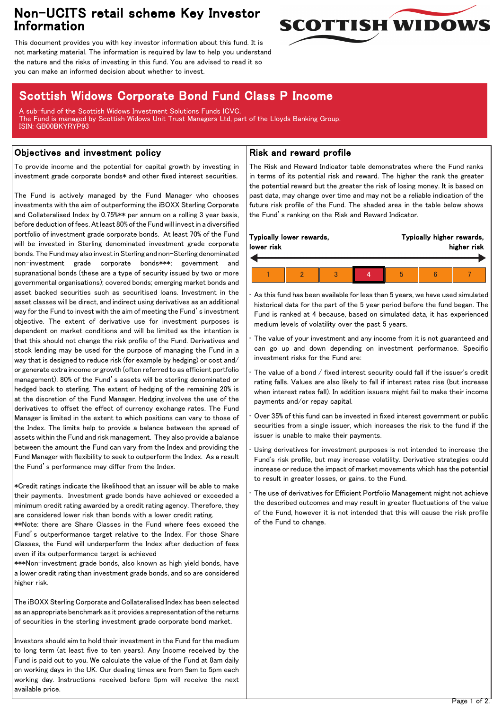## Non-UCITS retail scheme Key Investor Information



This document provides you with key investor information about this fund. It is not marketing material. The information is required by law to help you understand the nature and the risks of investing in this fund. You are advised to read it so you can make an informed decision about whether to invest.

# Scottish Widows Corporate Bond Fund Class P Income

A sub-fund of the Scottish Widows Investment Solutions Funds ICVC. The Fund is managed by Scottish Widows Unit Trust Managers Ltd, part of the Lloyds Banking Group. ISIN: GB00BKYRYP93

## Objectives and investment policy

To provide income and the potential for capital growth by investing in investment grade corporate bonds\* and other fixed interest securities.

The Fund is actively managed by the Fund Manager who chooses investments with the aim of outperforming the iBOXX Sterling Corporate and Collateralised Index by 0.75%\*\* per annum on a rolling 3 year basis, before deduction of fees. At least 80% of the Fund will invest in a diversified portfolio of investment grade corporate bonds. At least 70% of the Fund will be invested in Sterling denominated investment grade corporate bonds. The Fund may also invest in Sterling and non-Sterling denominated non-investment grade corporate bonds\*\*\*; government and supranational bonds (these are a type of security issued by two or more governmental organisations); covered bonds; emerging market bonds and asset backed securities such as securitised loans. Investment in the asset classes will be direct, and indirect using derivatives as an additional way for the Fund to invest with the aim of meeting the Fund's investment objective. The extent of derivative use for investment purposes is dependent on market conditions and will be limited as the intention is that this should not change the risk profile of the Fund. Derivatives and stock lending may be used for the purpose of managing the Fund in a way that is designed to reduce risk (for example by hedging) or cost and/ or generate extra income or growth (often referred to as efficient portfolio management). 80% of the Fund's assets will be sterling denominated or hedged back to sterling. The extent of hedging of the remaining 20% is at the discretion of the Fund Manager. Hedging involves the use of the derivatives to offset the effect of currency exchange rates. The Fund Manager is limited in the extent to which positions can vary to those of the Index. The limits help to provide a balance between the spread of assets within the Fund and risk management. They also provide a balance between the amount the Fund can vary from the Index and providing the Fund Manager with flexibility to seek to outperform the Index. As a result the Fund's performance may differ from the Index.

\*Credit ratings indicate the likelihood that an issuer will be able to make their payments. Investment grade bonds have achieved or exceeded a minimum credit rating awarded by a credit rating agency. Therefore, they are considered lower risk than bonds with a lower credit rating.

\*\*Note: there are Share Classes in the Fund where fees exceed the Fund's outperformance target relative to the Index. For those Share Classes, the Fund will underperform the Index after deduction of fees even if its outperformance target is achieved

\*\*\*Non-investment grade bonds, also known as high yield bonds, have a lower credit rating than investment grade bonds, and so are considered higher risk.

The iBOXX Sterling Corporate and Collateralised Index has been selected as an appropriate benchmark as it provides a representation of the returns of securities in the sterling investment grade corporate bond market.

Investors should aim to hold their investment in the Fund for the medium to long term (at least five to ten years). Any Income received by the Fund is paid out to you. We calculate the value of the Fund at 8am daily on working days in the UK. Our dealing times are from 9am to 5pm each working day. Instructions received before 5pm will receive the next available price.

## Risk and reward profile

The Risk and Reward Indicator table demonstrates where the Fund ranks in terms of its potential risk and reward. The higher the rank the greater the potential reward but the greater the risk of losing money. It is based on past data, may change over time and may not be a reliable indication of the future risk profile of the Fund. The shaded area in the table below shows the Fund's ranking on the Risk and Reward Indicator.

| Typically lower rewards, |  |  |  | Typically higher rewards, |  |  |
|--------------------------|--|--|--|---------------------------|--|--|
| lower risk               |  |  |  | higher risk               |  |  |
|                          |  |  |  |                           |  |  |

• As this fund has been available for less than 5 years, we have used simulated historical data for the part of the 5 year period before the fund began. The Fund is ranked at 4 because, based on simulated data, it has experienced medium levels of volatility over the past 5 years.

The value of your investment and any income from it is not guaranteed and can go up and down depending on investment performance. Specific investment risks for the Fund are:

- The value of a bond / fixed interest security could fall if the issuer's credit rating falls. Values are also likely to fall if interest rates rise (but increase when interest rates fall). In addition issuers might fail to make their income payments and/or repay capital.
- Over 35% of this fund can be invested in fixed interest government or public securities from a single issuer, which increases the risk to the fund if the issuer is unable to make their payments.

Using derivatives for investment purposes is not intended to increase the Fund's risk profile, but may increase volatility. Derivative strategies could increase or reduce the impact of market movements which has the potential to result in greater losses, or gains, to the Fund.

The use of derivatives for Efficient Portfolio Management might not achieve the described outcomes and may result in greater fluctuations of the value of the Fund, however it is not intended that this will cause the risk profile of the Fund to change.